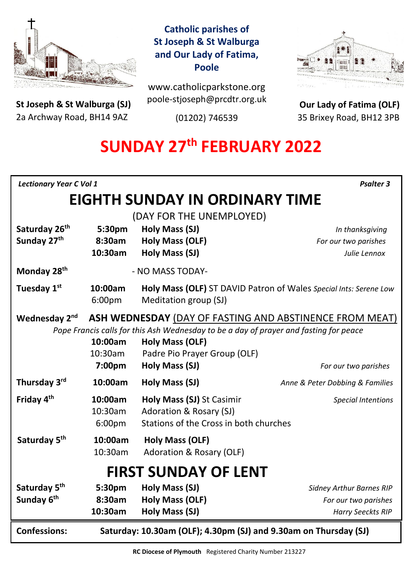

**St Joseph & St Walburga (SJ)** 2a Archway Road, BH14 9AZ 

**Catholic parishes of St Joseph & St Walburga and Our Lady of Fatima, Poole**

www.catholicparkstone.org poole-stjoseph@prcdtr.org.uk

(01202) 746539



**Our Lady of Fatima (OLF)** 35 Brixey Road, BH12 3PB

# **SUNDAY 27 th FEBRUARY 2022**

| <b>Lectionary Year C Vol 1</b><br><b>Psalter 3</b>                                    |                                                                  |                                                                   |                                 |
|---------------------------------------------------------------------------------------|------------------------------------------------------------------|-------------------------------------------------------------------|---------------------------------|
| <b>EIGHTH SUNDAY IN ORDINARY TIME</b>                                                 |                                                                  |                                                                   |                                 |
| (DAY FOR THE UNEMPLOYED)                                                              |                                                                  |                                                                   |                                 |
| Saturday 26 <sup>th</sup>                                                             | 5:30pm                                                           | Holy Mass (SJ)                                                    | In thanksgiving                 |
| Sunday 27 <sup>th</sup>                                                               | 8:30am                                                           | <b>Holy Mass (OLF)</b>                                            | For our two parishes            |
|                                                                                       | 10:30am                                                          | Holy Mass (SJ)                                                    | Julie Lennox                    |
| Monday 28 <sup>th</sup>                                                               |                                                                  | - NO MASS TODAY-                                                  |                                 |
| Tuesday 1st                                                                           | 10:00am                                                          | Holy Mass (OLF) ST DAVID Patron of Wales Special Ints: Serene Low |                                 |
|                                                                                       | 6:00 <sub>pm</sub>                                               | Meditation group (SJ)                                             |                                 |
| Wednesday 2 <sup>nd</sup>                                                             | ASH WEDNESDAY (DAY OF FASTING AND ABSTINENCE FROM MEAT)          |                                                                   |                                 |
| Pope Francis calls for this Ash Wednesday to be a day of prayer and fasting for peace |                                                                  |                                                                   |                                 |
|                                                                                       | 10:00am                                                          | Holy Mass (OLF)                                                   |                                 |
|                                                                                       | 10:30am                                                          | Padre Pio Prayer Group (OLF)                                      |                                 |
|                                                                                       | 7:00 <sub>pm</sub>                                               | Holy Mass (SJ)                                                    | For our two parishes            |
| Thursday 3rd                                                                          | 10:00am                                                          | <b>Holy Mass (SJ)</b>                                             | Anne & Peter Dobbing & Families |
| Friday 4 <sup>th</sup>                                                                | 10:00am                                                          | Holy Mass (SJ) St Casimir                                         | <b>Special Intentions</b>       |
|                                                                                       | 10:30am                                                          | Adoration & Rosary (SJ)                                           |                                 |
|                                                                                       | 6:00pm                                                           | Stations of the Cross in both churches                            |                                 |
| Saturday 5 <sup>th</sup>                                                              | 10:00am                                                          | Holy Mass (OLF)                                                   |                                 |
|                                                                                       | 10:30am                                                          | Adoration & Rosary (OLF)                                          |                                 |
| <b>FIRST SUNDAY OF LENT</b>                                                           |                                                                  |                                                                   |                                 |
| Saturday 5 <sup>th</sup>                                                              | 5:30pm                                                           | Holy Mass (SJ)                                                    | <b>Sidney Arthur Barnes RIP</b> |
| Sunday 6th                                                                            | 8:30am                                                           | <b>Holy Mass (OLF)</b>                                            | For our two parishes            |
|                                                                                       | 10:30am                                                          | Holy Mass (SJ)                                                    | <b>Harry Seeckts RIP</b>        |
| <b>Confessions:</b>                                                                   | Saturday: 10.30am (OLF); 4.30pm (SJ) and 9.30am on Thursday (SJ) |                                                                   |                                 |